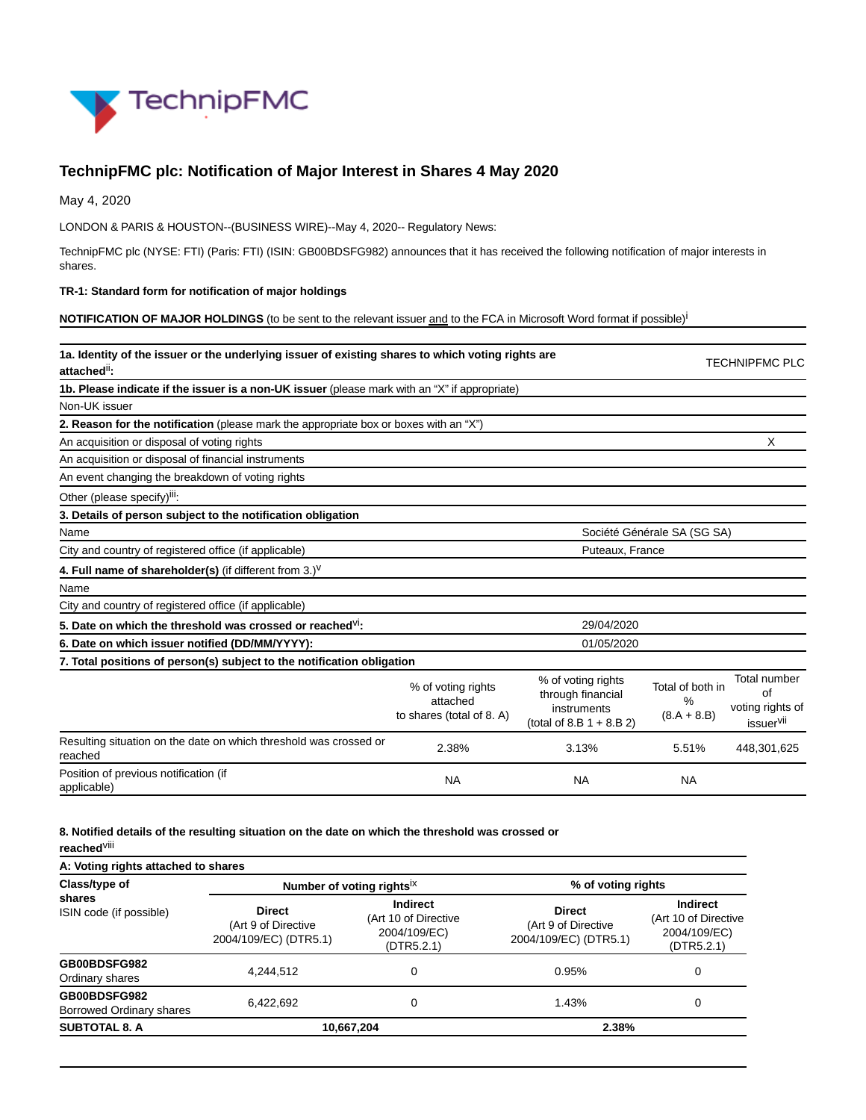

# **TechnipFMC plc: Notification of Major Interest in Shares 4 May 2020**

May 4, 2020

LONDON & PARIS & HOUSTON--(BUSINESS WIRE)--May 4, 2020-- Regulatory News:

TechnipFMC plc (NYSE: FTI) (Paris: FTI) (ISIN: GB00BDSFG982) announces that it has received the following notification of major interests in shares.

#### **TR-1: Standard form for notification of major holdings**

**NOTIFICATION OF MAJOR HOLDINGS** (to be sent to the relevant issuer and to the FCA in Microsoft Word format if possible)<sup>i</sup>

| 1a. Identity of the issuer or the underlying issuer of existing shares to which voting rights are<br>attached <sup>ii</sup> : |                                                             |                                                                                       |                                        | <b>TECHNIPFMC PLC</b>                                           |
|-------------------------------------------------------------------------------------------------------------------------------|-------------------------------------------------------------|---------------------------------------------------------------------------------------|----------------------------------------|-----------------------------------------------------------------|
| 1b. Please indicate if the issuer is a non-UK issuer (please mark with an "X" if appropriate)                                 |                                                             |                                                                                       |                                        |                                                                 |
| Non-UK issuer                                                                                                                 |                                                             |                                                                                       |                                        |                                                                 |
| 2. Reason for the notification (please mark the appropriate box or boxes with an "X")                                         |                                                             |                                                                                       |                                        |                                                                 |
| An acquisition or disposal of voting rights                                                                                   |                                                             |                                                                                       |                                        | X                                                               |
| An acquisition or disposal of financial instruments                                                                           |                                                             |                                                                                       |                                        |                                                                 |
| An event changing the breakdown of voting rights                                                                              |                                                             |                                                                                       |                                        |                                                                 |
| Other (please specify) <sup>iii</sup> :                                                                                       |                                                             |                                                                                       |                                        |                                                                 |
| 3. Details of person subject to the notification obligation                                                                   |                                                             |                                                                                       |                                        |                                                                 |
| Name                                                                                                                          |                                                             |                                                                                       | Société Générale SA (SG SA)            |                                                                 |
| City and country of registered office (if applicable)                                                                         | Puteaux, France                                             |                                                                                       |                                        |                                                                 |
| 4. Full name of shareholder(s) (if different from $3.$ ) <sup>V</sup>                                                         |                                                             |                                                                                       |                                        |                                                                 |
| Name                                                                                                                          |                                                             |                                                                                       |                                        |                                                                 |
| City and country of registered office (if applicable)                                                                         |                                                             |                                                                                       |                                        |                                                                 |
| 5. Date on which the threshold was crossed or reached <sup>VI</sup> :                                                         |                                                             | 29/04/2020                                                                            |                                        |                                                                 |
| 6. Date on which issuer notified (DD/MM/YYYY):                                                                                |                                                             | 01/05/2020                                                                            |                                        |                                                                 |
| 7. Total positions of person(s) subject to the notification obligation                                                        |                                                             |                                                                                       |                                        |                                                                 |
|                                                                                                                               | % of voting rights<br>attached<br>to shares (total of 8. A) | % of voting rights<br>through financial<br>instruments<br>(total of 8.B $1 + 8.B 2$ ) | Total of both in<br>%<br>$(8.A + 8.B)$ | Total number<br>of<br>voting rights of<br>issuer <sup>vii</sup> |
| Resulting situation on the date on which threshold was crossed or<br>reached                                                  | 2.38%                                                       | 3.13%                                                                                 | 5.51%                                  | 448,301,625                                                     |
| Position of previous notification (if<br>applicable)                                                                          | <b>NA</b>                                                   | <b>NA</b>                                                                             | <b>NA</b>                              |                                                                 |

### **8. Notified details of the resulting situation on the date on which the threshold was crossed or**

**reached**viii

| A: Voting rights attached to shares      |                                                               |                                                                       |                                                               |                                                                       |  |
|------------------------------------------|---------------------------------------------------------------|-----------------------------------------------------------------------|---------------------------------------------------------------|-----------------------------------------------------------------------|--|
| Class/type of                            | Number of voting rights <sup>ix</sup>                         |                                                                       | % of voting rights                                            |                                                                       |  |
| shares<br>ISIN code (if possible)        | <b>Direct</b><br>(Art 9 of Directive<br>2004/109/EC) (DTR5.1) | <b>Indirect</b><br>(Art 10 of Directive<br>2004/109/EC)<br>(DTR5.2.1) | <b>Direct</b><br>(Art 9 of Directive<br>2004/109/EC) (DTR5.1) | <b>Indirect</b><br>(Art 10 of Directive<br>2004/109/EC)<br>(DTR5.2.1) |  |
| GB00BDSFG982<br>Ordinary shares          | 4.244.512                                                     | 0                                                                     | 0.95%                                                         | 0                                                                     |  |
| GB00BDSFG982<br>Borrowed Ordinary shares | 6,422,692                                                     | 0                                                                     | 1.43%                                                         | 0                                                                     |  |
| <b>SUBTOTAL 8. A</b>                     | 10,667,204                                                    |                                                                       | 2.38%                                                         |                                                                       |  |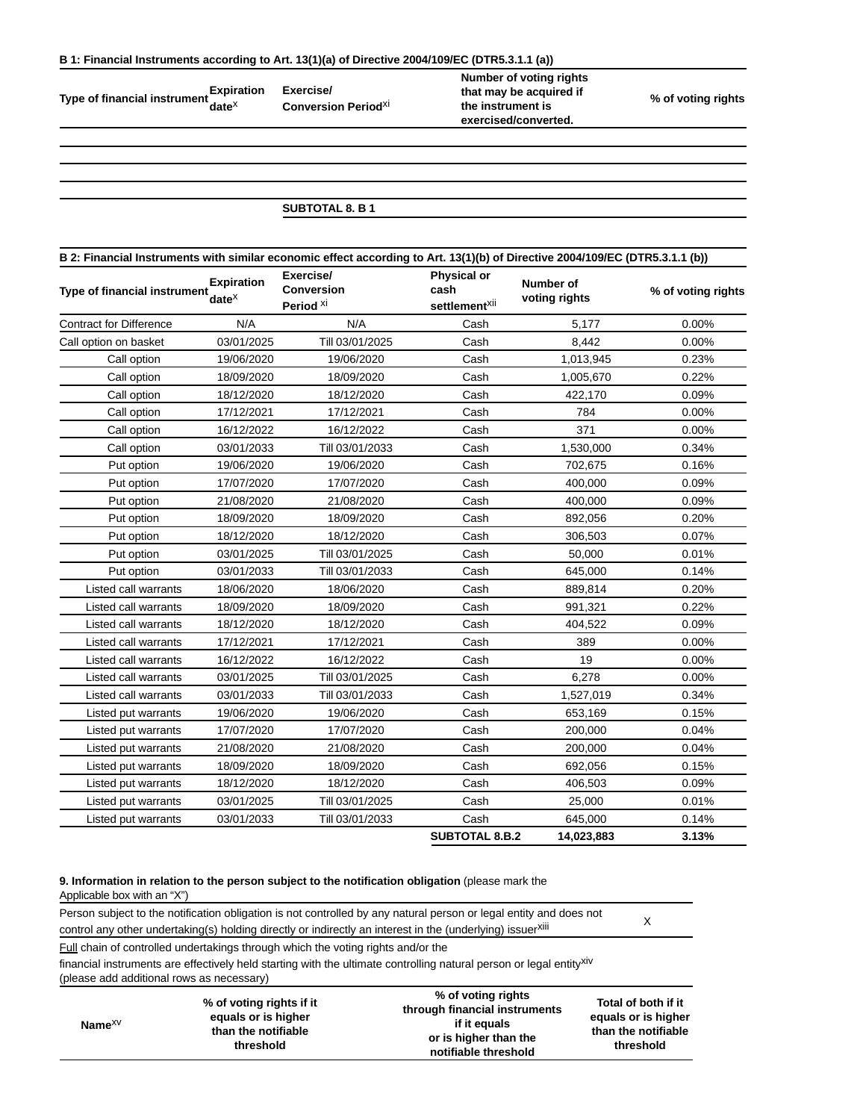**Type of financial instrument Expiration date**x

**Exercise/ Conversion Period**xi **Number of voting rights that may be acquired if the instrument is exercised/converted.**

**% of voting rights**

### **SUBTOTAL 8. B 1**

| B 2: Financial Instruments with similar economic effect according to Art. 13(1)(b) of Directive 2004/109/EC (DTR5.3.1.1 (b)) |                                        |                                                        |                                                         |                                   |                    |
|------------------------------------------------------------------------------------------------------------------------------|----------------------------------------|--------------------------------------------------------|---------------------------------------------------------|-----------------------------------|--------------------|
| Type of financial instrument                                                                                                 | <b>Expiration</b><br>date <sup>x</sup> | Exercise/<br><b>Conversion</b><br>Period <sup>xi</sup> | <b>Physical or</b><br>cash<br>settlement <sup>xii</sup> | <b>Number of</b><br>voting rights | % of voting rights |
| <b>Contract for Difference</b>                                                                                               | N/A                                    | N/A                                                    | Cash                                                    | 5,177                             | 0.00%              |
| Call option on basket                                                                                                        | 03/01/2025                             | Till 03/01/2025                                        | Cash                                                    | 8,442                             | 0.00%              |
| Call option                                                                                                                  | 19/06/2020                             | 19/06/2020                                             | Cash                                                    | 1,013,945                         | 0.23%              |
| Call option                                                                                                                  | 18/09/2020                             | 18/09/2020                                             | Cash                                                    | 1,005,670                         | 0.22%              |
| Call option                                                                                                                  | 18/12/2020                             | 18/12/2020                                             | Cash                                                    | 422,170                           | 0.09%              |
| Call option                                                                                                                  | 17/12/2021                             | 17/12/2021                                             | Cash                                                    | 784                               | 0.00%              |
| Call option                                                                                                                  | 16/12/2022                             | 16/12/2022                                             | Cash                                                    | 371                               | 0.00%              |
| Call option                                                                                                                  | 03/01/2033                             | Till 03/01/2033                                        | Cash                                                    | 1,530,000                         | 0.34%              |
| Put option                                                                                                                   | 19/06/2020                             | 19/06/2020                                             | Cash                                                    | 702,675                           | 0.16%              |
| Put option                                                                                                                   | 17/07/2020                             | 17/07/2020                                             | Cash                                                    | 400,000                           | 0.09%              |
| Put option                                                                                                                   | 21/08/2020                             | 21/08/2020                                             | Cash                                                    | 400,000                           | 0.09%              |
| Put option                                                                                                                   | 18/09/2020                             | 18/09/2020                                             | Cash                                                    | 892,056                           | 0.20%              |
| Put option                                                                                                                   | 18/12/2020                             | 18/12/2020                                             | Cash                                                    | 306,503                           | 0.07%              |
| Put option                                                                                                                   | 03/01/2025                             | Till 03/01/2025                                        | Cash                                                    | 50,000                            | 0.01%              |
| Put option                                                                                                                   | 03/01/2033                             | Till 03/01/2033                                        | Cash                                                    | 645,000                           | 0.14%              |
| Listed call warrants                                                                                                         | 18/06/2020                             | 18/06/2020                                             | Cash                                                    | 889,814                           | 0.20%              |
| Listed call warrants                                                                                                         | 18/09/2020                             | 18/09/2020                                             | Cash                                                    | 991,321                           | 0.22%              |
| Listed call warrants                                                                                                         | 18/12/2020                             | 18/12/2020                                             | Cash                                                    | 404,522                           | 0.09%              |
| Listed call warrants                                                                                                         | 17/12/2021                             | 17/12/2021                                             | Cash                                                    | 389                               | 0.00%              |
| Listed call warrants                                                                                                         | 16/12/2022                             | 16/12/2022                                             | Cash                                                    | 19                                | 0.00%              |
| Listed call warrants                                                                                                         | 03/01/2025                             | Till 03/01/2025                                        | Cash                                                    | 6,278                             | 0.00%              |
| Listed call warrants                                                                                                         | 03/01/2033                             | Till 03/01/2033                                        | Cash                                                    | 1,527,019                         | 0.34%              |
| Listed put warrants                                                                                                          | 19/06/2020                             | 19/06/2020                                             | Cash                                                    | 653,169                           | 0.15%              |
| Listed put warrants                                                                                                          | 17/07/2020                             | 17/07/2020                                             | Cash                                                    | 200,000                           | 0.04%              |
| Listed put warrants                                                                                                          | 21/08/2020                             | 21/08/2020                                             | Cash                                                    | 200,000                           | 0.04%              |
| Listed put warrants                                                                                                          | 18/09/2020                             | 18/09/2020                                             | Cash                                                    | 692,056                           | 0.15%              |
| Listed put warrants                                                                                                          | 18/12/2020                             | 18/12/2020                                             | Cash                                                    | 406,503                           | 0.09%              |
| Listed put warrants                                                                                                          | 03/01/2025                             | Till 03/01/2025                                        | Cash                                                    | 25,000                            | 0.01%              |
| Listed put warrants                                                                                                          | 03/01/2033                             | Till 03/01/2033                                        | Cash                                                    | 645,000                           | 0.14%              |
|                                                                                                                              |                                        |                                                        | <b>SUBTOTAL 8.B.2</b>                                   | 14,023,883                        | 3.13%              |

### **9. Information in relation to the person subject to the notification obligation** (please mark the

Applicable box with an "X")

Person subject to the notification obligation is not controlled by any natural person or legal entity and does not control any other undertaking(s) holding directly or indirectly an interest in the (underlying) issuer<sup>xiii</sup> X<br>Control any other undertaking(s) holding directly or indirectly an interest in the (underlying) issuer<sup>xiii</sup>

Full chain of controlled undertakings through which the voting rights and/or the

financial instruments are effectively held starting with the ultimate controlling natural person or legal entityxiv (please add additional rows as necessary)

| Name $XV$ | % of voting rights if it<br>equals or is higher<br>than the notifiable<br>threshold | % of voting rights<br>through financial instruments<br>if it equals<br>or is higher than the<br>notifiable threshold | Total of both if it<br>equals or is higher<br>than the notifiable<br>threshold |
|-----------|-------------------------------------------------------------------------------------|----------------------------------------------------------------------------------------------------------------------|--------------------------------------------------------------------------------|
|-----------|-------------------------------------------------------------------------------------|----------------------------------------------------------------------------------------------------------------------|--------------------------------------------------------------------------------|